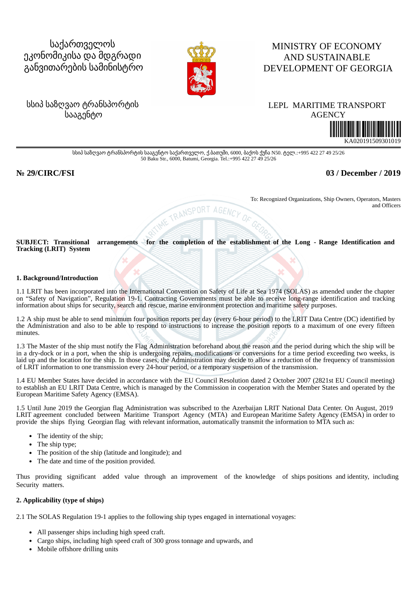# საქართველოს ეკონომიკისა და მდგრადი განვითარების სამინისტრო



## MINISTRY OF ECONOMY AND SUSTAINABLE DEVELOPMENT OF GEORGIA

## სსიპ საზღვაო ტრანსპორტის სააგენტო

## LEPLMARITIME TRANSPORT



სსიპ საზღვაო ტრანსპორტის სააგენტო საქართველო, ქ.ბათუმი, 6000, ბაქოს ქუჩა N50. ტელ.:+995 422 27 49 25/26 50 Baku Str., 6000, Batumi, Georgia. Tel.:+995 422 27 49 25/26

## **№ 29/CIRC/FSI 03 / December / 2019**

To: Recognized Organizations, Ship Owners, Operators, Masters and Officers

**SUBJECT: Transitional arrangements for the completion of the establishment of the Long - Range Identification and Tracking (LRIT) System**

AGENCY

IME TRANSPORT

#### **1. Background/Introduction**

1.1 LRIT has been incorporated into the International Convention on Safety of Life at Sea 1974 (SOLAS) as amended under the chapter on "Safety of Navigation", Regulation 19-1. Contracting Governments must be able to receive long-range identification and tracking information about ships for security, search and rescue, marine environment protection and maritime safety purposes.

1.2 A ship must be able to send minimum four position reports per day (every 6-hour period) to the LRIT Data Centre (DC) identified by the Administration and also to be able to respond to instructions to increase the position reports to a maximum of one every fifteen minutes.

1.3 The Master of the ship must notify the Flag Administration beforehand about the reason and the period during which the ship will be in a dry-dock or in a port, when the ship is undergoing repairs, modifications or conversions for a time period exceeding two weeks, is laid up and the location for the ship. In those cases, the Administration may decide to allow a reduction of the frequency of transmission of LRIT information to one transmission every 24-hour period, or a temporary suspension of the transmission.

1.4 EU Member States have decided in accordance with the EU Council Resolution dated 2 October 2007 (2821st EU Council meeting) to establish an EU LRIT Data Centre, which is managed by the Commission in cooperation with the Member States and operated by the European Maritime Safety Agency (EMSA).

1.5 Until June 2019 the Georgian flag Administration was subscribed to the Azerbaijan LRIT National Data Center. On August, 2019 LRIT agreement concluded between Maritime Transport Agency (MTA) and European Maritime Safety Agency (EMSA) in order to provide the ships flying Georgian flag with relevant information, automatically transmit the information to MTA such as:

- The identity of the ship;
- The ship type;
- The position of the ship (latitude and longitude); and
- The date and time of the position provided.

Thus providing significant added value through an improvement of the knowledge of ships positions and identity, including Security matters.

#### **2. Applicability (type of ships)**

2.1 The SOLAS Regulation 19-1 applies to the following ship types engaged in international voyages:

- All passenger ships including high speed craft.
- Cargo ships, including high speed craft of 300 gross tonnage and upwards, and
- Mobile offshore drilling units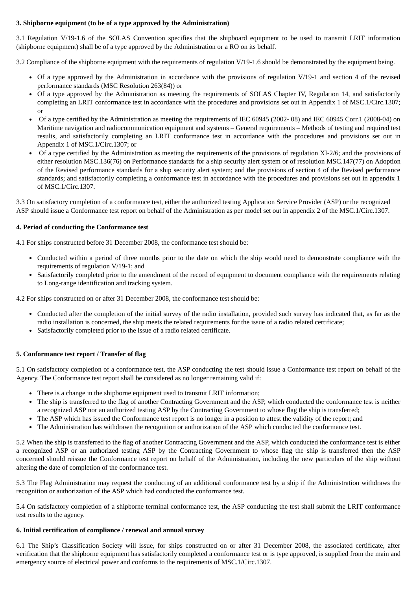#### **3. Shipborne equipment (to be of a type approved by the Administration)**

3.1 Regulation V/19-1.6 of the SOLAS Convention specifies that the shipboard equipment to be used to transmit LRIT information (shipborne equipment) shall be of a type approved by the Administration or a RO on its behalf.

3.2 Compliance of the shipborne equipment with the requirements of regulation V/19-1.6 should be demonstrated by the equipment being.

- Of a type approved by the Administration in accordance with the provisions of regulation V/19-1 and section 4 of the revised performance standards (MSC Resolution 263(84)) or
- Of a type approved by the Administration as meeting the requirements of SOLAS Chapter IV, Regulation 14, and satisfactorily completing an LRIT conformance test in accordance with the procedures and provisions set out in Appendix 1 of MSC.1/Circ.1307; or
- Of a type certified by the Administration as meeting the requirements of IEC 60945 (2002- 08) and IEC 60945 Corr.1 (2008-04) on Maritime navigation and radiocommunication equipment and systems – General requirements – Methods of testing and required test results, and satisfactorily completing an LRIT conformance test in accordance with the procedures and provisions set out in Appendix 1 of MSC.1/Circ.1307; or
- Of a type certified by the Administration as meeting the requirements of the provisions of regulation XI-2/6; and the provisions of either resolution MSC.136(76) on Performance standards for a ship security alert system or of resolution MSC.147(77) on Adoption of the Revised performance standards for a ship security alert system; and the provisions of section 4 of the Revised performance standards; and satisfactorily completing a conformance test in accordance with the procedures and provisions set out in appendix 1 of MSC.1/Circ.1307.

3.3 On satisfactory completion of a conformance test, either the authorized testing Application Service Provider (ASP) or the recognized ASP should issue a Conformance test report on behalf of the Administration as per model set out in appendix 2 of the MSC.1/Circ.1307.

#### **4. Period of conducting the Conformance test**

4.1 For ships constructed before 31 December 2008, the conformance test should be:

- Conducted within a period of three months prior to the date on which the ship would need to demonstrate compliance with the requirements of regulation V/19-1; and
- Satisfactorily completed prior to the amendment of the record of equipment to document compliance with the requirements relating to Long-range identification and tracking system.

4.2 For ships constructed on or after 31 December 2008, the conformance test should be:

- Conducted after the completion of the initial survey of the radio installation, provided such survey has indicated that, as far as the radio installation is concerned, the ship meets the related requirements for the issue of a radio related certificate;
- Satisfactorily completed prior to the issue of a radio related certificate.

### **5. Conformance test report / Transfer of flag**

5.1 On satisfactory completion of a conformance test, the ASP conducting the test should issue a Conformance test report on behalf of the Agency. The Conformance test report shall be considered as no longer remaining valid if:

- There is a change in the shipborne equipment used to transmit LRIT information;
- The ship is transferred to the flag of another Contracting Government and the ASP, which conducted the conformance test is neither a recognized ASP nor an authorized testing ASP by the Contracting Government to whose flag the ship is transferred;
- The ASP which has issued the Conformance test report is no longer in a position to attest the validity of the report; and
- The Administration has withdrawn the recognition or authorization of the ASP which conducted the conformance test.

5.2 When the ship is transferred to the flag of another Contracting Government and the ASP, which conducted the conformance test is either a recognized ASP or an authorized testing ASP by the Contracting Government to whose flag the ship is transferred then the ASP concerned should reissue the Conformance test report on behalf of the Administration, including the new particulars of the ship without altering the date of completion of the conformance test.

5.3 The Flag Administration may request the conducting of an additional conformance test by a ship if the Administration withdraws the recognition or authorization of the ASP which had conducted the conformance test.

5.4 On satisfactory completion of a shipborne terminal conformance test, the ASP conducting the test shall submit the LRIT conformance test results to the agency.

#### **6. Initial certification of compliance / renewal and annual survey**

6.1 The Ship's Classification Society will issue, for ships constructed on or after 31 December 2008, the associated certificate, after verification that the shipborne equipment has satisfactorily completed a conformance test or is type approved, is supplied from the main and emergency source of electrical power and conforms to the requirements of MSC.1/Circ.1307.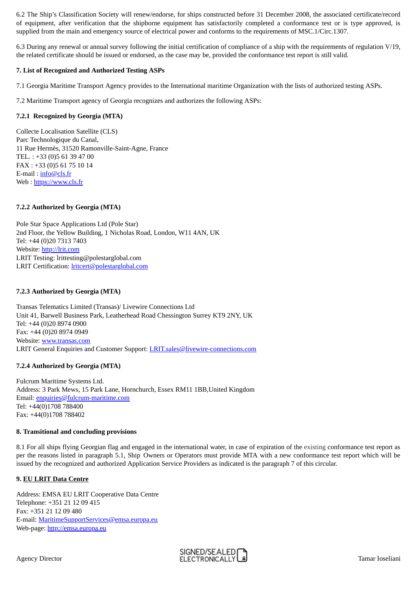6.2 The Ship's Classification Society will renew/endorse, for ships constructed before 31 December 2008, the associated certificate/record of equipment, after verification that the shipborne equipment has satisfactorily completed a conformance test or is type approved, is supplied from the main and emergency source of electrical power and conforms to the requirements of MSC.1/Circ.1307.

6.3 During any renewal or annual survey following the initial certification of compliance of a ship with the requirements of regulation V/19, the related certificate should be issued or endorsed, as the case may be, provided the conformance test report is still valid.

#### **7. List of Recognized and Authorized Testing ASPs**

7.1 Georgia Maritime Transport Agency provides to the International maritime Organization with the lists of authorized testing ASPs.

7.2 Maritime Transport agency of Georgia recognizes and authorizes the following ASPs:

### **7.2.1 Recognized by Georgia (MTA)**

Collecte Localisation Satellite (CLS) Parc Technologique du Canal, 11 Rue Hermès, 31520 Ramonville-Saint-Agne, France TEL. : +33 (0)5 61 39 47 00 FAX : +33 (0)5 61 75 10 14 E-mail: [info@cls.fr](mailto:info@cls.fr) Web : [https://www.cls.fr](https://www.cls.fr/)

## **7.2.2 Authorized by Georgia (MTA)**

Pole Star Space Applications Ltd (Pole Star) 2nd Floor, the Yellow Building, 1 Nicholas Road, London, W11 4AN, UK Tel: +44 (0)20 7313 7403 Website: [http://lrit.com](http://lrit.com/) LRIT Testing: lrittesting@polestarglobal.com LRIT Certification: [lritcert@polestarglobal.com](mailto:lritcert@polestarglobal.com)

## **7.2.3 Authorized by Georgia (MTA)**

Transas Telematics Limited (Transas)/ Livewire Connections Ltd Unit 41, Barwell Business Park, Leatherhead Road Chessington Surrey KT9 2NY, UK Tel: +44 (0)20 8974 0900 Fax: +44 (0)20 8974 0949 Website: [www.transas.com](http://www.transas.com/) LRIT General Enquiries and Customer Support: *LRIT.sales@livewire-connections.com* 

### **7.2.4 Authorized by Georgia (MTA)**

Fulcrum Maritime Systems Ltd. Address: 3 Park Mews, 15 Park Lane, Hornchurch, Essex RM11 1BB,United Kingdom Email: [enquiries@fulcrum-maritime.com](mailto:enquiries@fulcrum-maritime.com) Tel: +44(0)1708 788400 Fax: +44(0)1708 788402

### **8. Transitional and concluding provisions**

8.1 For all ships flying Georgian flag and engaged in the international water, in case of expiration of the existing conformance test report as per the reasons listed in paragraph 5.1, Ship Owners or Operators must provide MTA with a new conformance test report which will be issued by the recognized and authorized Application Service Providers as indicated is the paragraph 7 of this circular.

### **9. EU LRIT Data Centre**

Address: EMSA EU LRIT Cooperative Data Centre Telephone: +351 21 12 09 415 Fax: +351 21 12 09 480 E-mail: [MaritimeSupportServices@emsa.europa.eu](mailto:MaritimeSupportServices@emsa.europa.eu) Web-page: [http://emsa.europa.eu](http://emsa.europa.eu/)